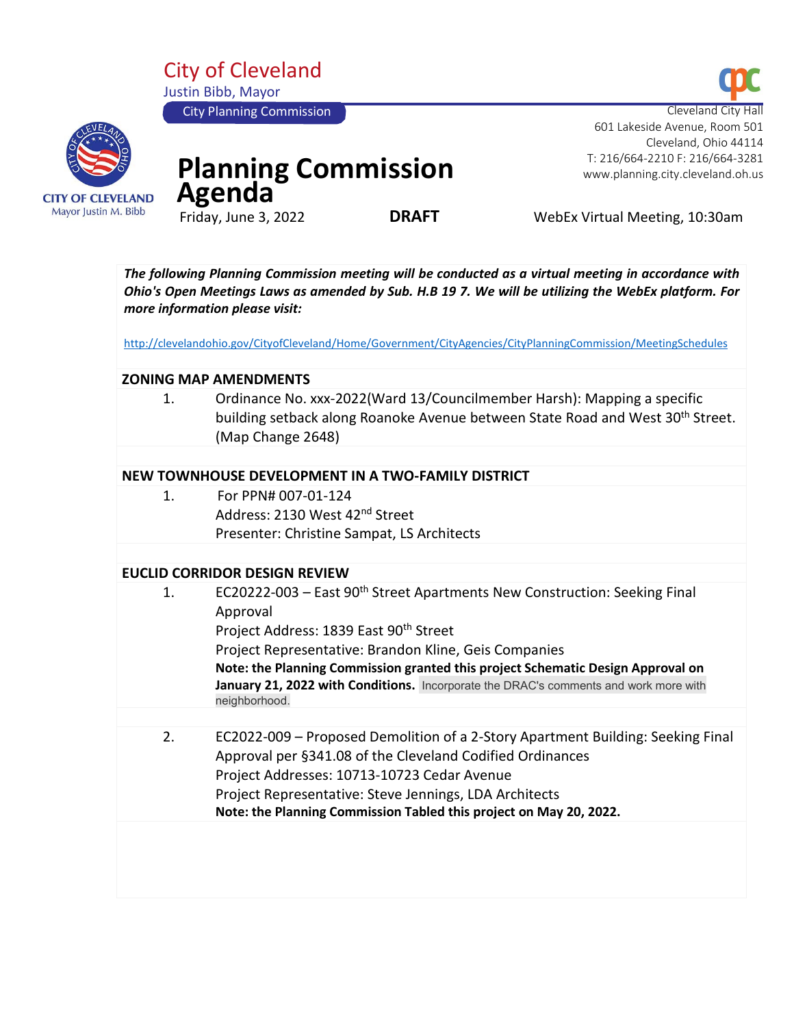City of Cleveland Justin Bibb, Mayor City Planning Commission



# **Planning Commission**  Agenda<sup>T</sup>

**DRAFT** WebEx Virtual Meeting, 10:30am

 Cleveland, Ohio 44114 T: 216/664-2210 F: 216/664-3281 www.planning.city.cleveland.oh.us

601 Lakeside Avenue, Room 501

*The following Planning Commission meeting will be conducted as a virtual meeting in accordance with Ohio's Open Meetings Laws as amended by Sub. H.B 19 7. We will be utilizing the WebEx platform. For more information please visit:* 

<http://clevelandohio.gov/CityofCleveland/Home/Government/CityAgencies/CityPlanningCommission/MeetingSchedules>

#### **ZONING MAP AMENDMENTS**

1. Ordinance No. xxx-2022(Ward 13/Councilmember Harsh): Mapping a specific building setback along Roanoke Avenue between State Road and West 30<sup>th</sup> Street. (Map Change 2648)

#### **NEW TOWNHOUSE DEVELOPMENT IN A TWO-FAMILY DISTRICT**

1. For PPN# 007-01-124 Address: 2130 West 42nd Street Presenter: Christine Sampat, LS Architects

## **EUCLID CORRIDOR DESIGN REVIEW**

| 1. | EC20222-003 - East 90 <sup>th</sup> Street Apartments New Construction: Seeking Final<br>Approval<br>Project Address: 1839 East 90 <sup>th</sup> Street<br>Project Representative: Brandon Kline, Geis Companies                                                                                                            |
|----|-----------------------------------------------------------------------------------------------------------------------------------------------------------------------------------------------------------------------------------------------------------------------------------------------------------------------------|
|    | Note: the Planning Commission granted this project Schematic Design Approval on                                                                                                                                                                                                                                             |
|    | January 21, 2022 with Conditions. Incorporate the DRAC's comments and work more with<br>neighborhood.                                                                                                                                                                                                                       |
|    |                                                                                                                                                                                                                                                                                                                             |
| 2. | EC2022-009 – Proposed Demolition of a 2-Story Apartment Building: Seeking Final<br>Approval per §341.08 of the Cleveland Codified Ordinances<br>Project Addresses: 10713-10723 Cedar Avenue<br>Project Representative: Steve Jennings, LDA Architects<br>Note: the Planning Commission Tabled this project on May 20, 2022. |
|    |                                                                                                                                                                                                                                                                                                                             |

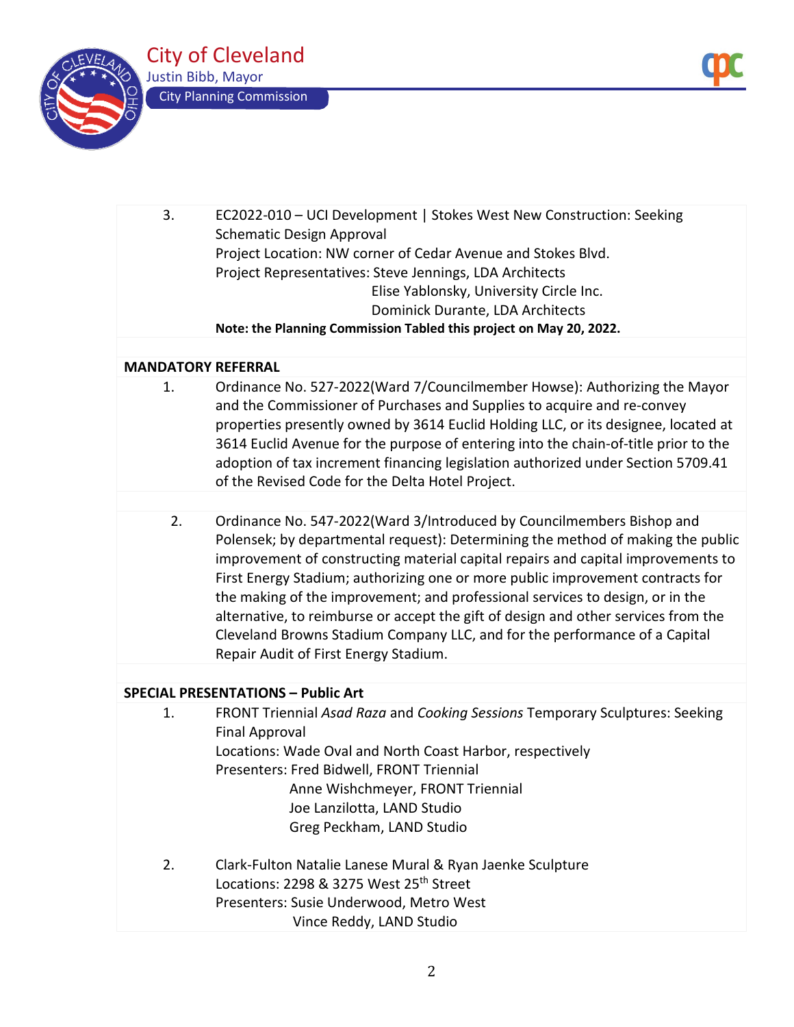

| 3. | EC2022-010 - UCI Development   Stokes West New Construction: Seeking<br><b>Schematic Design Approval</b><br>Project Location: NW corner of Cedar Avenue and Stokes Blvd.<br>Project Representatives: Steve Jennings, LDA Architects<br>Elise Yablonsky, University Circle Inc.<br>Dominick Durante, LDA Architects<br>Note: the Planning Commission Tabled this project on May 20, 2022.                                                                                                                                                                                                                                     |
|----|------------------------------------------------------------------------------------------------------------------------------------------------------------------------------------------------------------------------------------------------------------------------------------------------------------------------------------------------------------------------------------------------------------------------------------------------------------------------------------------------------------------------------------------------------------------------------------------------------------------------------|
|    |                                                                                                                                                                                                                                                                                                                                                                                                                                                                                                                                                                                                                              |
|    | <b>MANDATORY REFERRAL</b>                                                                                                                                                                                                                                                                                                                                                                                                                                                                                                                                                                                                    |
| 1. | Ordinance No. 527-2022(Ward 7/Councilmember Howse): Authorizing the Mayor<br>and the Commissioner of Purchases and Supplies to acquire and re-convey<br>properties presently owned by 3614 Euclid Holding LLC, or its designee, located at<br>3614 Euclid Avenue for the purpose of entering into the chain-of-title prior to the<br>adoption of tax increment financing legislation authorized under Section 5709.41<br>of the Revised Code for the Delta Hotel Project.                                                                                                                                                    |
|    |                                                                                                                                                                                                                                                                                                                                                                                                                                                                                                                                                                                                                              |
| 2. | Ordinance No. 547-2022(Ward 3/Introduced by Councilmembers Bishop and<br>Polensek; by departmental request): Determining the method of making the public<br>improvement of constructing material capital repairs and capital improvements to<br>First Energy Stadium; authorizing one or more public improvement contracts for<br>the making of the improvement; and professional services to design, or in the<br>alternative, to reimburse or accept the gift of design and other services from the<br>Cleveland Browns Stadium Company LLC, and for the performance of a Capital<br>Repair Audit of First Energy Stadium. |
|    |                                                                                                                                                                                                                                                                                                                                                                                                                                                                                                                                                                                                                              |
|    | <b>SPECIAL PRESENTATIONS - Public Art</b>                                                                                                                                                                                                                                                                                                                                                                                                                                                                                                                                                                                    |
| 1. | FRONT Triennial Asad Raza and Cooking Sessions Temporary Sculptures: Seeking<br><b>Final Approval</b><br>Locations: Wade Oval and North Coast Harbor, respectively<br>Presenters: Fred Bidwell, FRONT Triennial<br>Anne Wishchmeyer, FRONT Triennial<br>Joe Lanzilotta, LAND Studio<br>Greg Peckham, LAND Studio                                                                                                                                                                                                                                                                                                             |
| 2. | Clark-Fulton Natalie Lanese Mural & Ryan Jaenke Sculpture<br>Locations: 2298 & 3275 West 25 <sup>th</sup> Street<br>Presenters: Susie Underwood, Metro West<br>Vince Reddy, LAND Studio                                                                                                                                                                                                                                                                                                                                                                                                                                      |
|    |                                                                                                                                                                                                                                                                                                                                                                                                                                                                                                                                                                                                                              |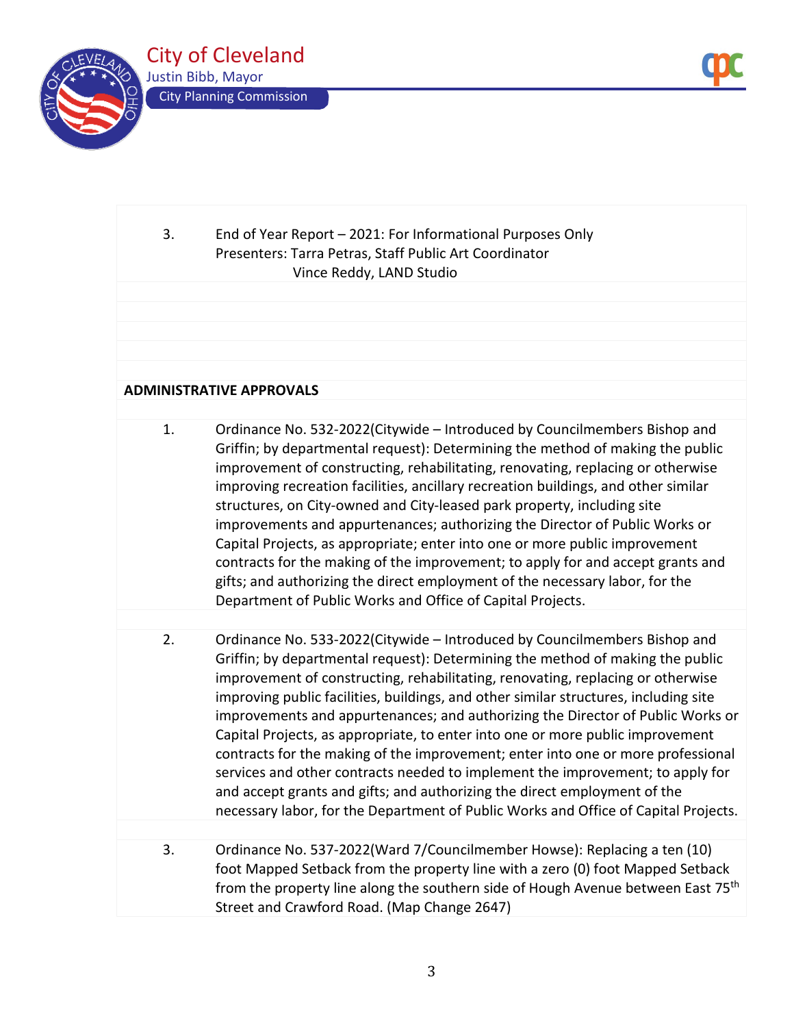

# 3. End of Year Report – 2021: For Informational Purposes Only Presenters: Tarra Petras, Staff Public Art Coordinator Vince Reddy, LAND Studio

## **ADMINISTRATIVE APPROVALS**

| Ordinance No. 532-2022(Citywide - Introduced by Councilmembers Bishop and<br>Griffin; by departmental request): Determining the method of making the public           |
|-----------------------------------------------------------------------------------------------------------------------------------------------------------------------|
| improvement of constructing, rehabilitating, renovating, replacing or otherwise<br>improving recreation facilities, ancillary recreation buildings, and other similar |
| structures, on City-owned and City-leased park property, including site                                                                                               |
| improvements and appurtenances; authorizing the Director of Public Works or                                                                                           |
| Capital Projects, as appropriate; enter into one or more public improvement                                                                                           |
| contracts for the making of the improvement; to apply for and accept grants and                                                                                       |
| gifts; and authorizing the direct employment of the necessary labor, for the                                                                                          |
| Department of Public Works and Office of Capital Projects.                                                                                                            |

- 2. Ordinance No. 533-2022(Citywide Introduced by Councilmembers Bishop and Griffin; by departmental request): Determining the method of making the public improvement of constructing, rehabilitating, renovating, replacing or otherwise improving public facilities, buildings, and other similar structures, including site improvements and appurtenances; and authorizing the Director of Public Works or Capital Projects, as appropriate, to enter into one or more public improvement contracts for the making of the improvement; enter into one or more professional services and other contracts needed to implement the improvement; to apply for and accept grants and gifts; and authorizing the direct employment of the necessary labor, for the Department of Public Works and Office of Capital Projects.
- 3. Ordinance No. 537-2022(Ward 7/Councilmember Howse): Replacing a ten (10) foot Mapped Setback from the property line with a zero (0) foot Mapped Setback from the property line along the southern side of Hough Avenue between East 75<sup>th</sup> Street and Crawford Road. (Map Change 2647)